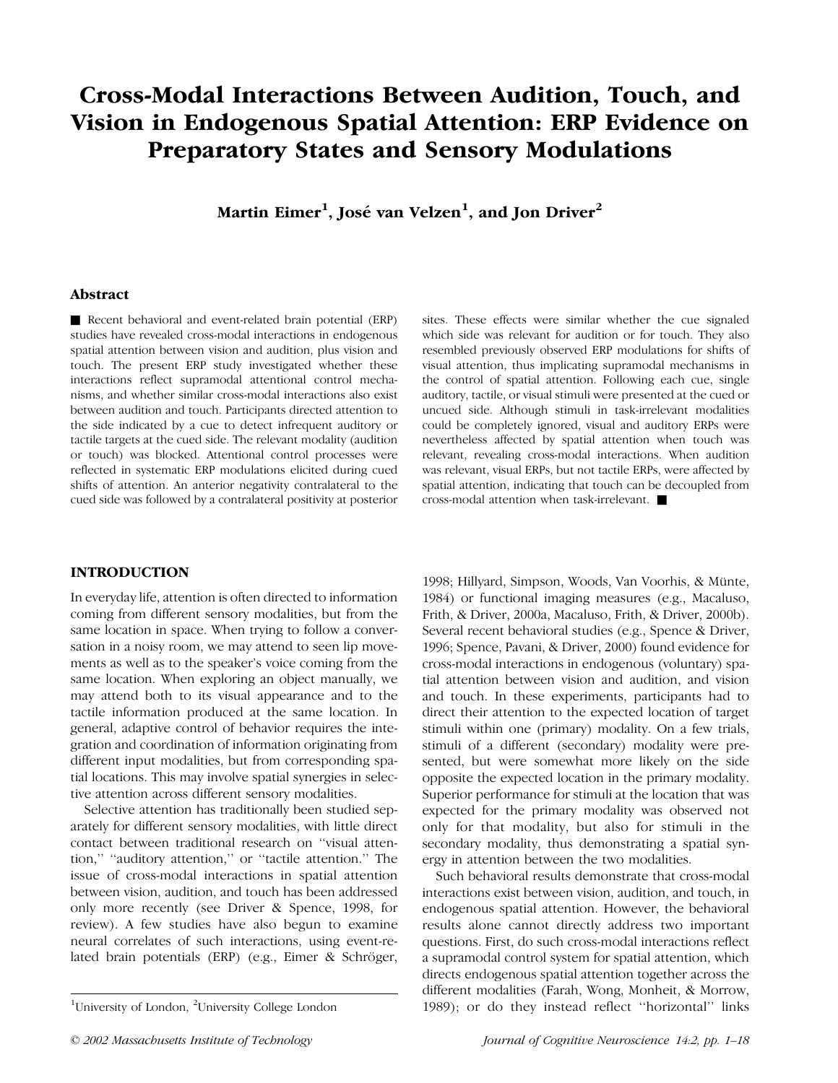# Cross-Modal Interactions Between Audition, Touch, and Vision in Endogenous Spatial Attention: ERP Evidence on Preparatory States and Sensory Modulations

Martin Eimer $^1$ , José van Velzen $^1$ , and Jon Driver $^2$ 

## Abstract

Recent behavioral and event-related brain potential (ERP) studies have revealed cross-modal interactions in endogenous spatial attention between vision and audition, plus vision and touch. The present ERP study investigated whether these interactions reflect supramodal attentional control mechanisms, and whether similar cross-modal interactions also exist between audition and touch. Participants directed attention to the side indicated by a cue to detect infrequent auditory or tactile targets at the cued side. The relevant modality (audition or touch) was blocked. Attentional control processes were reflected in systematic ERP modulations elicited during cued shifts of attention. An anterior negativity contralateral to the cued side was followed by a contralateral positivity at posterior sites. These effects were similar whether the cue signaled which side was relevant for audition or for touch. They also resembled previously observed ERP modulations for shifts of visual attention, thus implicating supramodal mechanisms in the control of spatial attention. Following each cue, single auditory, tactile, or visual stimuli were presented at the cued or uncued side. Although stimuli in task-irrelevant modalities could be completely ignored, visual and auditory ERPs were nevertheless affected by spatial attention when touch was relevant, revealing cross-modal interactions. When audition was relevant, visual ERPs, but not tactile ERPs, were affected by spatial attention, indicating that touch can be decoupled from cross-modal attention when task-irrelevant.  $\blacksquare$ 

## INTRODUCTION

In everyday life, attention is often directed to information coming from different sensory modalities, but from the same location in space. When trying to follow a conversation in a noisy room, we may attend to seen lip movements as well as to the speaker's voice coming from the same location. When exploring an object manually, we may attend both to its visual appearance and to the tactile information produced at the same location. In general, adaptive control of behavior requires the integration and coordination of information originating from different input modalities, but from corresponding spatial locations. This may involve spatial synergies in selective attention across different sensory modalities.

Selective attention has traditionally been studied separately for different sensory modalities, with little direct contact between traditional research on ''visual attention," "auditory attention," or "tactile attention." The issue of cross-modal interactions in spatial attention between vision, audition, and touch has been addressed only more recently (see Driver & Spence, 1998, for review). A few studies have also begun to examine neural correlates of such interactions, using event-related brain potentials (ERP) (e.g., Eimer & Schröger, 1998; Hillyard, Simpson, Woods, Van Voorhis, & Münte, 1984) or functional imaging measures (e.g., Macaluso, Frith, & Driver, 2000a, Macaluso, Frith, & Driver, 2000b). Several recent behavioral studies (e.g., Spence & Driver, 1996; Spence, Pavani, & Driver, 2000) found evidence for cross-modal interactions in endogenous (voluntary) spatial attention between vision and audition, and vision and touch. In these experiments, participants had to direct their attention to the expected location of target stimuli within one (primary) modality. On a few trials, stimuli of a different (secondary) modality were presented, but were somewhat more likely on the side opposite the expected location in the primary modality. Superior performance for stimuli at the location that was expected for the primary modality was observed not only for that modality, but also for stimuli in the secondary modality, thus demonstrating a spatial synergy in attention between the two modalities.

Such behavioral results demonstrate that cross-modal interactions exist between vision, audition, and touch, in endogenous spatial attention. However, the behavioral results alone cannot directly address two important questions. First, do such cross-modal interactions reflect a supramodal control system for spatial attention, which directs endogenous spatial attention together across the different modalities (Farah, Wong, Monheit, & Morrow, 1989); or do they instead reflect ''horizontal'' links <sup>1</sup>

University of London, <sup>2</sup>University College London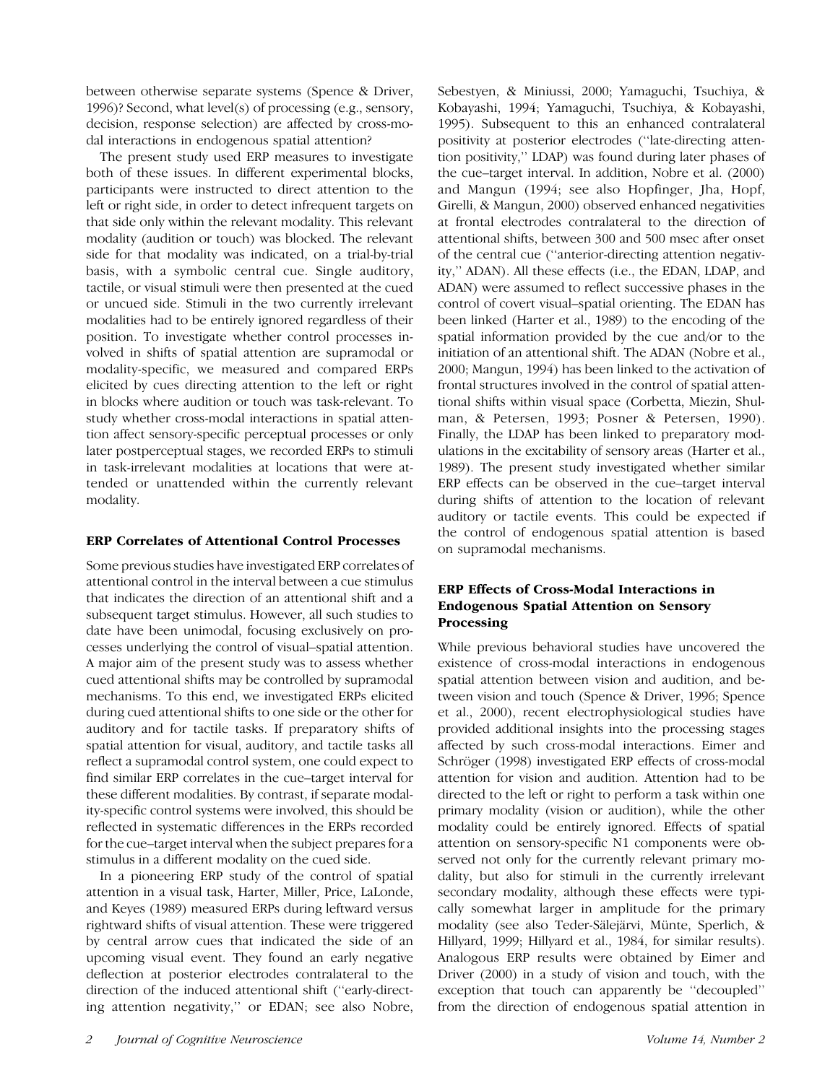between otherwise separate systems (Spence & Driver, 1996)? Second, what level(s) of processing (e.g., sensory, decision, response selection) are affected by cross-modal interactions in endogenous spatial attention?

The present study used ERP measures to investigate both of these issues. In different experimental blocks, participants were instructed to direct attention to the left or right side, in order to detect infrequent targets on that side only within the relevant modality. This relevant modality (audition or touch) was blocked. The relevant side for that modality was indicated, on a trial-by-trial basis, with a symbolic central cue. Single auditory, tactile, or visual stimuli were then presented at the cued or uncued side. Stimuli in the two currently irrelevant modalities had to be entirely ignored regardless of their position. To investigate whether control processes involved in shifts of spatial attention are supramodal or modality-specific, we measured and compared ERPs elicited by cues directing attention to the left or right in blocks where audition or touch was task-relevant. To study whether cross-modal interactions in spatial attention affect sensory-specific perceptual processes or only later postperceptual stages, we recorded ERPs to stimuli in task-irrelevant modalities at locations that were attended or unattended within the currently relevant modality.

## ERP Correlates of Attentional Control Processes

Some previous studies have investigated ERP correlates of attentional control in the interval between a cue stimulus that indicates the direction of an attentional shift and a subsequent target stimulus. However, all such studies to date have been unimodal, focusing exclusively on processes underlying the control of visual–spatial attention. A major aim of the present study was to assess whether cued attentional shifts may be controlled by supramodal mechanisms. To this end, we investigated ERPs elicited during cued attentional shifts to one side or the other for auditory and for tactile tasks. If preparatory shifts of spatial attention for visual, auditory, and tactile tasks all reflect a supramodal control system, one could expect to find similar ERP correlates in the cue–target interval for these different modalities. By contrast, if separate modality-specific control systems were involved, this should be reflected in systematic differences in the ERPs recorded for the cue–target interval when the subject prepares for a stimulus in a different modality on the cued side.

In a pioneering ERP study of the control of spatial attention in a visual task, Harter, Miller, Price, LaLonde, and Keyes (1989) measured ERPs during leftward versus rightward shifts of visual attention. These were triggered by central arrow cues that indicated the side of an upcoming visual event. They found an early negative deflection at posterior electrodes contralateral to the direction of the induced attentional shift (''early-directing attention negativity,'' or EDAN; see also Nobre,

Sebestyen, & Miniussi, 2000; Yamaguchi, Tsuchiya, & Kobayashi, 1994; Yamaguchi, Tsuchiya, & Kobayashi, 1995). Subsequent to this an enhanced contralateral positivity at posterior electrodes (''late-directing attention positivity,'' LDAP) was found during later phases of the cue–target interval. In addition, Nobre et al. (2000) and Mangun (1994; see also Hopfinger, Jha, Hopf, Girelli, & Mangun, 2000) observed enhanced negativities at frontal electrodes contralateral to the direction of attentional shifts, between 300 and 500 msec after onset of the central cue (''anterior-directing attention negativity,'' ADAN). All these effects (i.e., the EDAN, LDAP, and ADAN) were assumed to reflect successive phases in the control of covert visual–spatial orienting. The EDAN has been linked (Harter et al., 1989) to the encoding of the spatial information provided by the cue and/or to the initiation of an attentional shift. The ADAN (Nobre et al., 2000; Mangun, 1994) has been linked to the activation of frontal structures involved in the control of spatial attentional shifts within visual space (Corbetta, Miezin, Shulman, & Petersen, 1993; Posner & Petersen, 1990). Finally, the LDAP has been linked to preparatory modulations in the excitability of sensory areas (Harter et al., 1989). The present study investigated whether similar ERP effects can be observed in the cue–target interval during shifts of attention to the location of relevant auditory or tactile events. This could be expected if the control of endogenous spatial attention is based on supramodal mechanisms.

# ERP Effects of Cross-Modal Interactions in Endogenous Spatial Attention on Sensory Processing

While previous behavioral studies have uncovered the existence of cross-modal interactions in endogenous spatial attention between vision and audition, and between vision and touch (Spence & Driver, 1996; Spence et al., 2000), recent electrophysiological studies have provided additional insights into the processing stages affected by such cross-modal interactions. Eimer and Schröger (1998) investigated ERP effects of cross-modal attention for vision and audition. Attention had to be directed to the left or right to perform a task within one primary modality (vision or audition), while the other modality could be entirely ignored. Effects of spatial attention on sensory-specific N1 components were observed not only for the currently relevant primary modality, but also for stimuli in the currently irrelevant secondary modality, although these effects were typically somewhat larger in amplitude for the primary modality (see also Teder-Sälejärvi, Münte, Sperlich, & Hillyard, 1999; Hillyard et al., 1984, for similar results). Analogous ERP results were obtained by Eimer and Driver (2000) in a study of vision and touch, with the exception that touch can apparently be ''decoupled'' from the direction of endogenous spatial attention in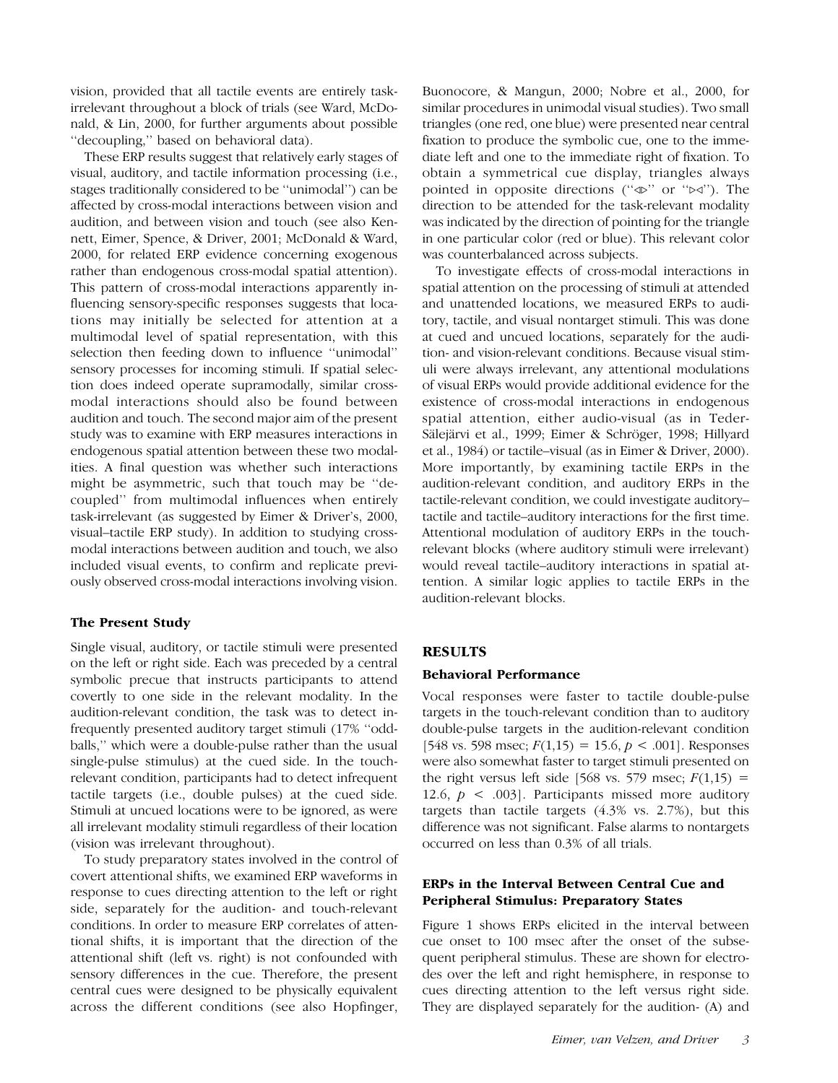vision, provided that all tactile events are entirely taskirrelevant throughout a block of trials (see Ward, McDonald, & Lin, 2000, for further arguments about possible ''decoupling,'' based on behavioral data).

These ERP results suggest that relatively early stages of visual, auditory, and tactile information processing (i.e., stages traditionally considered to be ''unimodal'') can be affected by cross-modal interactions between vision and audition, and between vision and touch (see also Kennett, Eimer, Spence, & Driver, 2001; McDonald & Ward, 2000, for related ERP evidence concerning exogenous rather than endogenous cross-modal spatial attention). This pattern of cross-modal interactions apparently influencing sensory-specific responses suggests that locations may initially be selected for attention at a multimodal level of spatial representation, with this selection then feeding down to influence ''unimodal'' sensory processes for incoming stimuli. If spatial selection does indeed operate supramodally, similar crossmodal interactions should also be found between audition and touch. The second major aim of the present study was to examine with ERP measures interactions in endogenous spatial attention between these two modalities. A final question was whether such interactions might be asymmetric, such that touch may be ''decoupled'' from multimodal influences when entirely task-irrelevant (as suggested by Eimer & Driver's, 2000, visual–tactile ERP study). In addition to studying crossmodal interactions between audition and touch, we also included visual events, to confirm and replicate previously observed cross-modal interactions involving vision.

## The Present Study

Single visual, auditory, or tactile stimuli were presented on the left or right side. Each was preceded by a central symbolic precue that instructs participants to attend covertly to one side in the relevant modality. In the audition-relevant condition, the task was to detect infrequently presented auditory target stimuli (17% ''oddballs,'' which were a double-pulse rather than the usual single-pulse stimulus) at the cued side. In the touchrelevant condition, participants had to detect infrequent tactile targets (i.e., double pulses) at the cued side. Stimuli at uncued locations were to be ignored, as were all irrelevant modality stimuli regardless of their location (vision was irrelevant throughout).

To study preparatory states involved in the control of covert attentional shifts, we examined ERP waveforms in response to cues directing attention to the left or right side, separately for the audition- and touch-relevant conditions. In order to measure ERP correlates of attentional shifts, it is important that the direction of the attentional shift (left vs. right) is not confounded with sensory differences in the cue. Therefore, the present central cues were designed to be physically equivalent across the different conditions (see also Hopfinger,

Buonocore, & Mangun, 2000; Nobre et al., 2000, for similar procedures in unimodal visual studies). Two small triangles (one red, one blue) were presented near central fixation to produce the symbolic cue, one to the immediate left and one to the immediate right of fixation. To obtain a symmetrical cue display, triangles always pointed in opposite directions (" $\triangle$ " or " $\triangleright$ "). The direction to be attended for the task-relevant modality was indicated by the direction of pointing for the triangle in one particular color (red or blue). This relevant color was counterbalanced across subjects.

To investigate effects of cross-modal interactions in spatial attention on the processing of stimuli at attended and unattended locations, we measured ERPs to auditory, tactile, and visual nontarget stimuli. This was done at cued and uncued locations, separately for the audition- and vision-relevant conditions. Because visual stimuli were always irrelevant, any attentional modulations of visual ERPs would provide additional evidence for the existence of cross-modal interactions in endogenous spatial attention, either audio-visual (as in Teder-Sälejärvi et al., 1999; Eimer & Schröger, 1998; Hillyard et al., 1984) or tactile–visual (as in Eimer & Driver, 2000). More importantly, by examining tactile ERPs in the audition-relevant condition, and auditory ERPs in the tactile-relevant condition, we could investigate auditory– tactile and tactile–auditory interactions for the first time. Attentional modulation of auditory ERPs in the touchrelevant blocks (where auditory stimuli were irrelevant) would reveal tactile–auditory interactions in spatial attention. A similar logic applies to tactile ERPs in the audition-relevant blocks.

#### **RESULTS**

#### Behavioral Performance

Vocal responses were faster to tactile double-pulse targets in the touch-relevant condition than to auditory double-pulse targets in the audition-relevant condition [548 vs. 598 msec;  $F(1,15) = 15.6, p < .001$ ]. Responses were also somewhat faster to target stimuli presented on the right versus left side [568 vs. 579 msec;  $F(1,15) =$ 12.6,  $p \leq .003$ . Participants missed more auditory targets than tactile targets (4.3% vs. 2.7%), but this difference was not significant. False alarms to nontargets occurred on less than 0.3% of all trials.

## ERPs in the Interval Between Central Cue and Peripheral Stimulus: Preparatory States

Figure 1 shows ERPs elicited in the interval between cue onset to 100 msec after the onset of the subsequent peripheral stimulus. These are shown for electrodes over the left and right hemisphere, in response to cues directing attention to the left versus right side. They are displayed separately for the audition- (A) and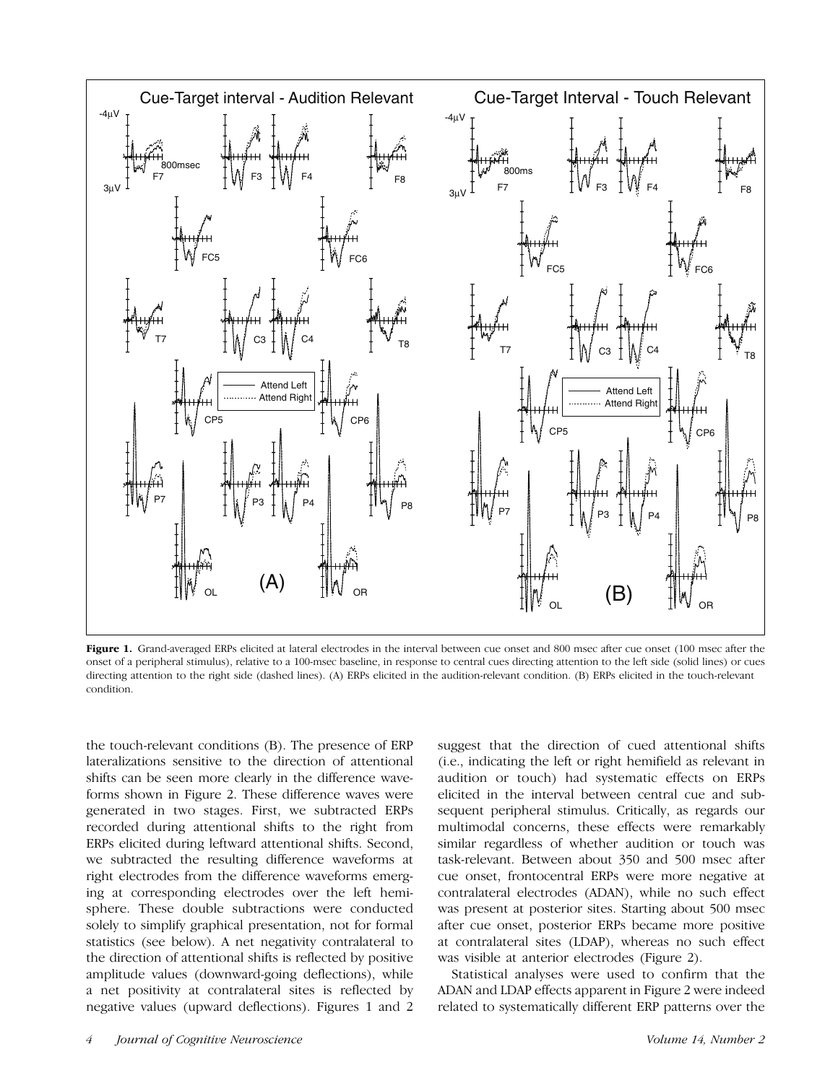

Figure 1. Grand-averaged ERPs elicited at lateral electrodes in the interval between cue onset and 800 msec after cue onset (100 msec after the onset of a peripheral stimulus), relative to a 100-msec baseline, in response to central cues directing attention to the left side (solid lines) or cues directing attention to the right side (dashed lines). (A) ERPs elicited in the audition-relevant condition. (B) ERPs elicited in the touch-relevant condition.

the touch-relevant conditions (B). The presence of ERP lateralizations sensitive to the direction of attentional shifts can be seen more clearly in the difference waveforms shown in Figure 2. These difference waves were generated in two stages. First, we subtracted ERPs recorded during attentional shifts to the right from ERPs elicited during leftward attentional shifts. Second, we subtracted the resulting difference waveforms at right electrodes from the difference waveforms emerging at corresponding electrodes over the left hemisphere. These double subtractions were conducted solely to simplify graphical presentation, not for formal statistics (see below). A net negativity contralateral to the direction of attentional shifts is reflected by positive amplitude values (downward-going deflections), while a net positivity at contralateral sites is reflected by negative values (upward deflections). Figures 1 and 2

suggest that the direction of cued attentional shifts (i.e., indicating the left or right hemifield as relevant in audition or touch) had systematic effects on ERPs elicited in the interval between central cue and subsequent peripheral stimulus. Critically, as regards our multimodal concerns, these effects were remarkably similar regardless of whether audition or touch was task-relevant. Between about 350 and 500 msec after cue onset, frontocentral ERPs were more negative at contralateral electrodes (ADAN), while no such effect was present at posterior sites. Starting about 500 msec after cue onset, posterior ERPs became more positive at contralateral sites (LDAP), whereas no such effect was visible at anterior electrodes (Figure 2).

Statistical analyses were used to confirm that the ADAN and LDAP effects apparent in Figure 2 were indeed related to systematically different ERP patterns over the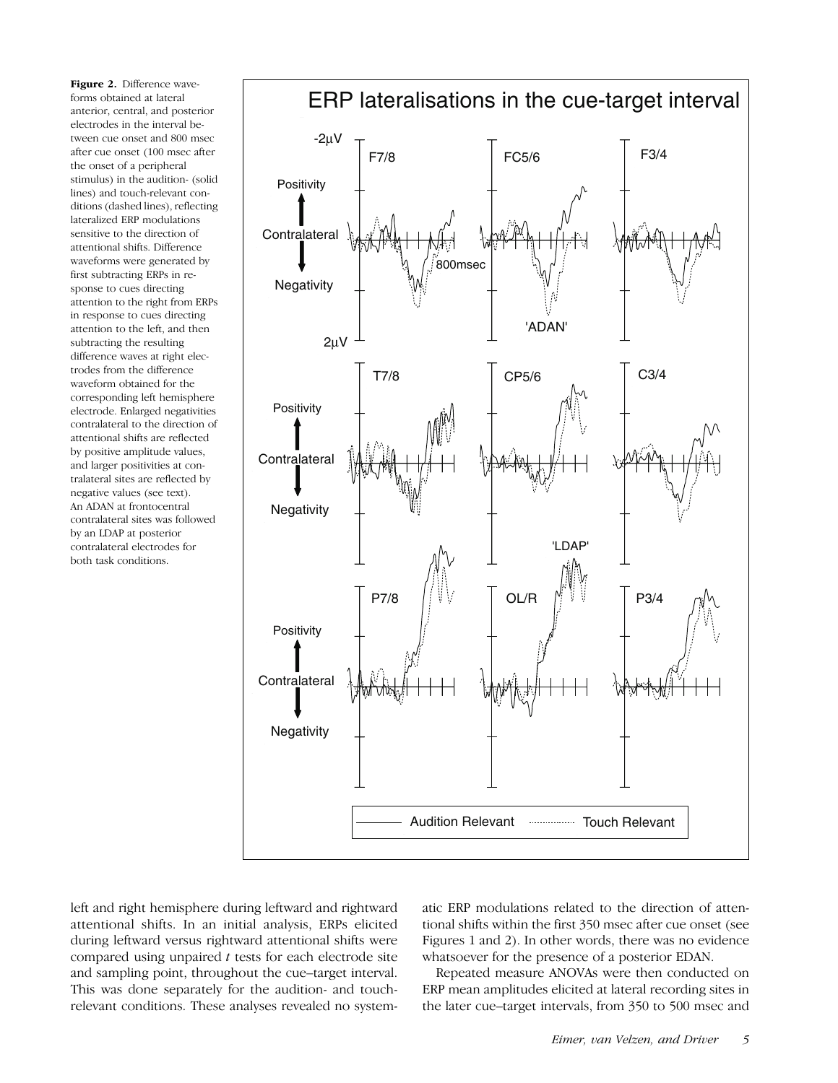Figure 2. Difference waveforms obtained at lateral anterior, central, and posterior electrodes in the interval between cue onset and 800 msec after cue onset (100 msec after the onset of a peripheral stimulus) in the audition- (solid lines) and touch-relevant conditions (dashed lines), reflecting lateralized ERP modulations sensitive to the direction of attentional shifts. Difference waveforms were generated by first subtracting ERPs in response to cues directing attention to the right from ERPs in response to cues directing attention to the left, and then subtracting the resulting difference waves at right electrodes from the difference waveform obtained for the corresponding left hemisphere electrode. Enlarged negativities contralateral to the direction of attentional shifts are reflected by positive amplitude values, and larger positivities at contralateral sites are reflected by negative values (see text). An ADAN at frontocentral contralateral sites was followed by an LDAP at posterior contralateral electrodes for both task conditions.



left and right hemisphere during leftward and rightward attentional shifts. In an initial analysis, ERPs elicited during leftward versus rightward attentional shifts were compared using unpaired  $t$  tests for each electrode site and sampling point, throughout the cue–target interval. This was done separately for the audition- and touchrelevant conditions. These analyses revealed no systematic ERP modulations related to the direction of attentional shifts within the first 350 msec after cue onset (see Figures 1 and 2). In other words, there was no evidence whatsoever for the presence of a posterior EDAN.

Repeated measure ANOVAs were then conducted on ERP mean amplitudes elicited at lateral recording sites in the later cue–target intervals, from 350 to 500 msec and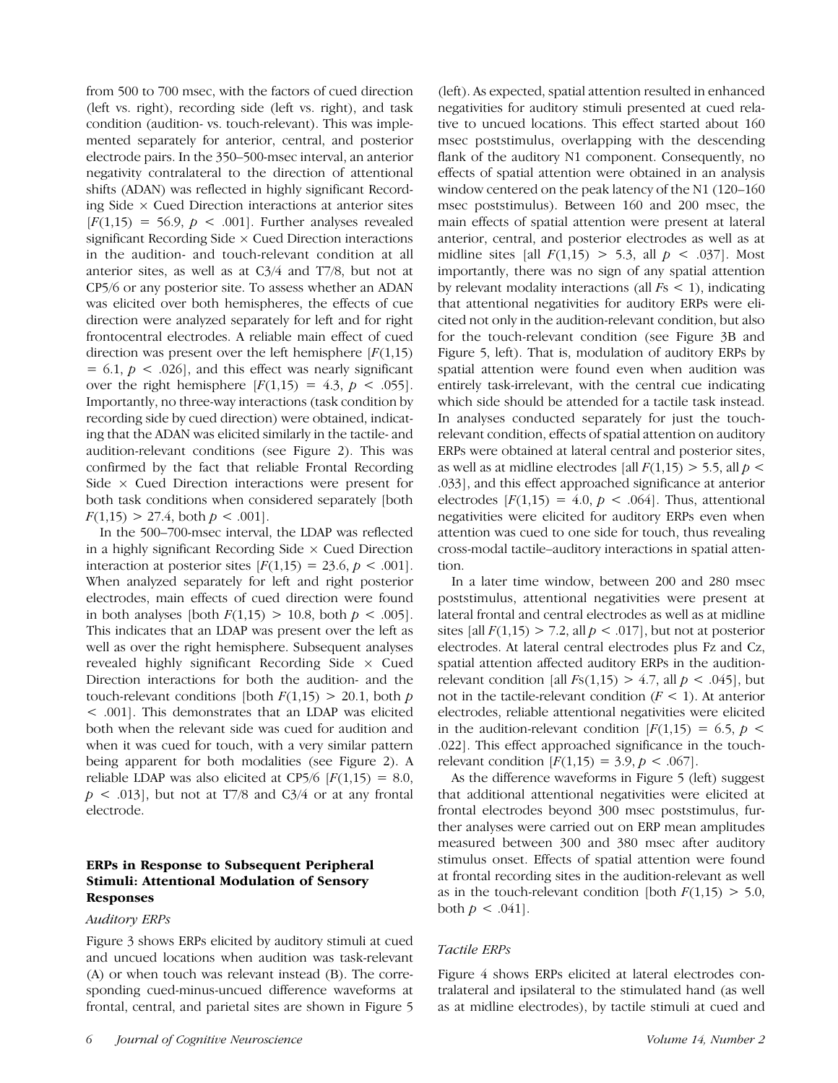from 500 to 700 msec, with the factors of cued direction (left vs. right), recording side (left vs. right), and task condition (audition- vs. touch-relevant). This was implemented separately for anterior, central, and posterior electrode pairs. In the 350–500-msec interval, an anterior negativity contralateral to the direction of attentional shifts (ADAN) was reflected in highly significant Recording Side  $\times$  Cued Direction interactions at anterior sites  $[F(1,15) = 56.9, p < .001]$ . Further analyses revealed significant Recording Side  $\times$  Cued Direction interactions in the audition- and touch-relevant condition at all anterior sites, as well as at C3/4 and T7/8, but not at CP5/6 or any posterior site. To assess whether an ADAN was elicited over both hemispheres, the effects of cue direction were analyzed separately for left and for right frontocentral electrodes. A reliable main effect of cued direction was present over the left hemisphere  $[F(1,15)]$  $= 6.1, p < .026$ , and this effect was nearly significant over the right hemisphere  $[F(1,15) = 4.3, p < .055]$ . Importantly, no three-way interactions (task condition by recording side by cued direction) were obtained, indicating that the ADAN was elicited similarly in the tactile- and audition-relevant conditions (see Figure 2). This was confirmed by the fact that reliable Frontal Recording Side  $\times$  Cued Direction interactions were present for both task conditions when considered separately [both  $F(1,15) > 27.4$ , both  $p < .001$ .

In the 500–700-msec interval, the LDAP was reflected in a highly significant Recording Side  $\times$  Cued Direction interaction at posterior sites  $[F(1,15) = 23.6, p < .001]$ . When analyzed separately for left and right posterior electrodes, main effects of cued direction were found in both analyses [both  $F(1,15) > 10.8$ , both  $p < .005$ ]. This indicates that an LDAP was present over the left as well as over the right hemisphere. Subsequent analyses revealed highly significant Recording Side  $\times$  Cued Direction interactions for both the audition- and the touch-relevant conditions [both  $F(1,15) > 20.1$ , both p < .001]. This demonstrates that an LDAP was elicited both when the relevant side was cued for audition and when it was cued for touch, with a very similar pattern being apparent for both modalities (see Figure 2). A reliable LDAP was also elicited at CP5/6  $\left[ F(1,15) = 8.0 \right]$ ,  $p \lt 0.013$ , but not at T7/8 and C3/4 or at any frontal electrode.

# ERPs in Response to Subsequent Peripheral Stimuli: Attentional Modulation of Sensory Responses

## Auditory ERPs

Figure 3 shows ERPs elicited by auditory stimuli at cued and uncued locations when audition was task-relevant (A) or when touch was relevant instead (B). The corresponding cued-minus-uncued difference waveforms at frontal, central, and parietal sites are shown in Figure 5

(left). As expected, spatial attention resulted in enhanced negativities for auditory stimuli presented at cued relative to uncued locations. This effect started about 160 msec poststimulus, overlapping with the descending flank of the auditory N1 component. Consequently, no effects of spatial attention were obtained in an analysis window centered on the peak latency of the N1 (120–160 msec poststimulus). Between 160 and 200 msec, the main effects of spatial attention were present at lateral anterior, central, and posterior electrodes as well as at midline sites [all  $F(1,15) > 5.3$ , all  $p < .037$ ]. Most importantly, there was no sign of any spatial attention by relevant modality interactions (all  $Fs < 1$ ), indicating that attentional negativities for auditory ERPs were elicited not only in the audition-relevant condition, but also for the touch-relevant condition (see Figure 3B and Figure 5, left). That is, modulation of auditory ERPs by spatial attention were found even when audition was entirely task-irrelevant, with the central cue indicating which side should be attended for a tactile task instead. In analyses conducted separately for just the touchrelevant condition, effects of spatial attention on auditory ERPs were obtained at lateral central and posterior sites, as well as at midline electrodes [all  $F(1,15) > 5.5$ , all  $p <$ .033], and this effect approached significance at anterior electrodes  $[F(1,15) = 4.0, p < .064]$ . Thus, attentional negativities were elicited for auditory ERPs even when attention was cued to one side for touch, thus revealing cross-modal tactile–auditory interactions in spatial attention.

In a later time window, between 200 and 280 msec poststimulus, attentional negativities were present at lateral frontal and central electrodes as well as at midline sites [all  $F(1,15) > 7.2$ , all  $p < .017$ ], but not at posterior electrodes. At lateral central electrodes plus Fz and Cz, spatial attention affected auditory ERPs in the auditionrelevant condition [all  $Fs(1,15) > 4.7$ , all  $p < .045$ ], but not in the tactile-relevant condition  $(F < 1)$ . At anterior electrodes, reliable attentional negativities were elicited in the audition-relevant condition  $[F(1,15) = 6.5, p <$ .022]. This effect approached significance in the touchrelevant condition  $[F(1,15) = 3.9, p < .067]$ .

As the difference waveforms in Figure 5 (left) suggest that additional attentional negativities were elicited at frontal electrodes beyond 300 msec poststimulus, further analyses were carried out on ERP mean amplitudes measured between 300 and 380 msec after auditory stimulus onset. Effects of spatial attention were found at frontal recording sites in the audition-relevant as well as in the touch-relevant condition [both  $F(1,15) > 5.0$ , both  $p < .041$ .

## Tactile ERPs

Figure 4 shows ERPs elicited at lateral electrodes contralateral and ipsilateral to the stimulated hand (as well as at midline electrodes), by tactile stimuli at cued and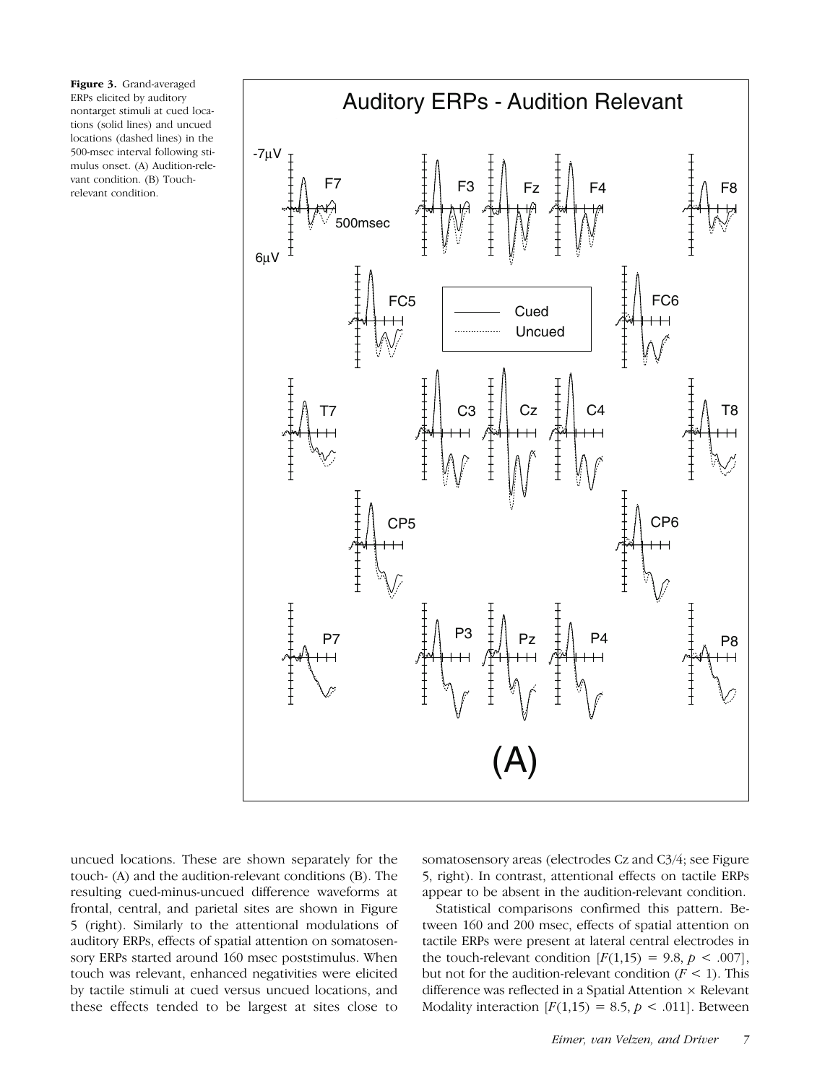Figure 3. Grand-averaged ERPs elicited by auditory nontarget stimuli at cued locations (solid lines) and uncued locations (dashed lines) in the 500-msec interval following stimulus onset. (A) Audition-relevant condition. (B) Touchrelevant condition.



uncued locations. These are shown separately for the touch- (A) and the audition-relevant conditions (B). The resulting cued-minus-uncued difference waveforms at frontal, central, and parietal sites are shown in Figure 5 (right). Similarly to the attentional modulations of auditory ERPs, effects of spatial attention on somatosensory ERPs started around 160 msec poststimulus. When touch was relevant, enhanced negativities were elicited by tactile stimuli at cued versus uncued locations, and these effects tended to be largest at sites close to somatosensory areas (electrodes Cz and C3/4; see Figure 5, right). In contrast, attentional effects on tactile ERPs appear to be absent in the audition-relevant condition.

Statistical comparisons confirmed this pattern. Between 160 and 200 msec, effects of spatial attention on tactile ERPs were present at lateral central electrodes in the touch-relevant condition  $[F(1,15) = 9.8, p < .007]$ , but not for the audition-relevant condition  $(F < 1)$ . This difference was reflected in a Spatial Attention  $\times$  Relevant Modality interaction  $[F(1,15) = 8.5, p < .011]$ . Between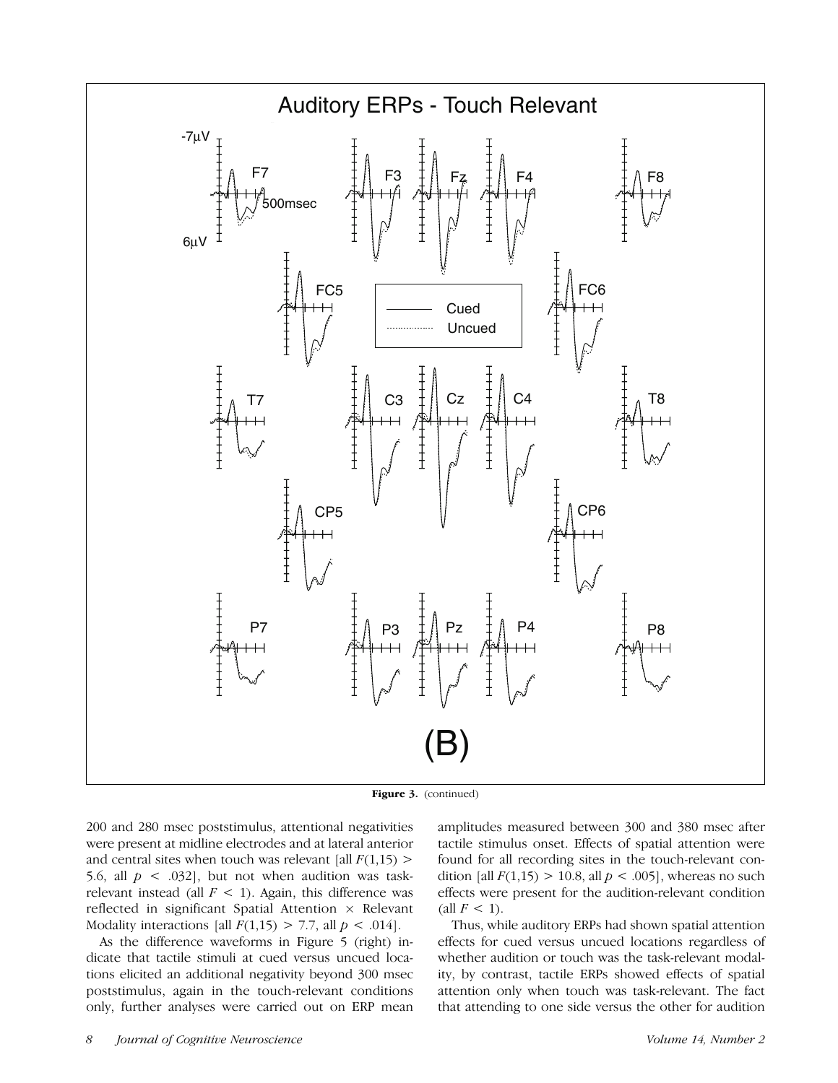

Figure 3. (continued)

200 and 280 msec poststimulus, attentional negativities were present at midline electrodes and at lateral anterior and central sites when touch was relevant [all  $F(1,15)$  > 5.6, all  $p \lt 0.032$ , but not when audition was taskrelevant instead (all  $F < 1$ ). Again, this difference was reflected in significant Spatial Attention  $\times$  Relevant Modality interactions [all  $F(1,15) > 7.7$ , all  $p < .014$ ].

As the difference waveforms in Figure 5 (right) indicate that tactile stimuli at cued versus uncued locations elicited an additional negativity beyond 300 msec poststimulus, again in the touch-relevant conditions only, further analyses were carried out on ERP mean

amplitudes measured between 300 and 380 msec after tactile stimulus onset. Effects of spatial attention were found for all recording sites in the touch-relevant condition [all  $F(1,15) > 10.8$ , all  $p < .005$ ], whereas no such effects were present for the audition-relevant condition (all  $F < 1$ ).

Thus, while auditory ERPs had shown spatial attention effects for cued versus uncued locations regardless of whether audition or touch was the task-relevant modality, by contrast, tactile ERPs showed effects of spatial attention only when touch was task-relevant. The fact that attending to one side versus the other for audition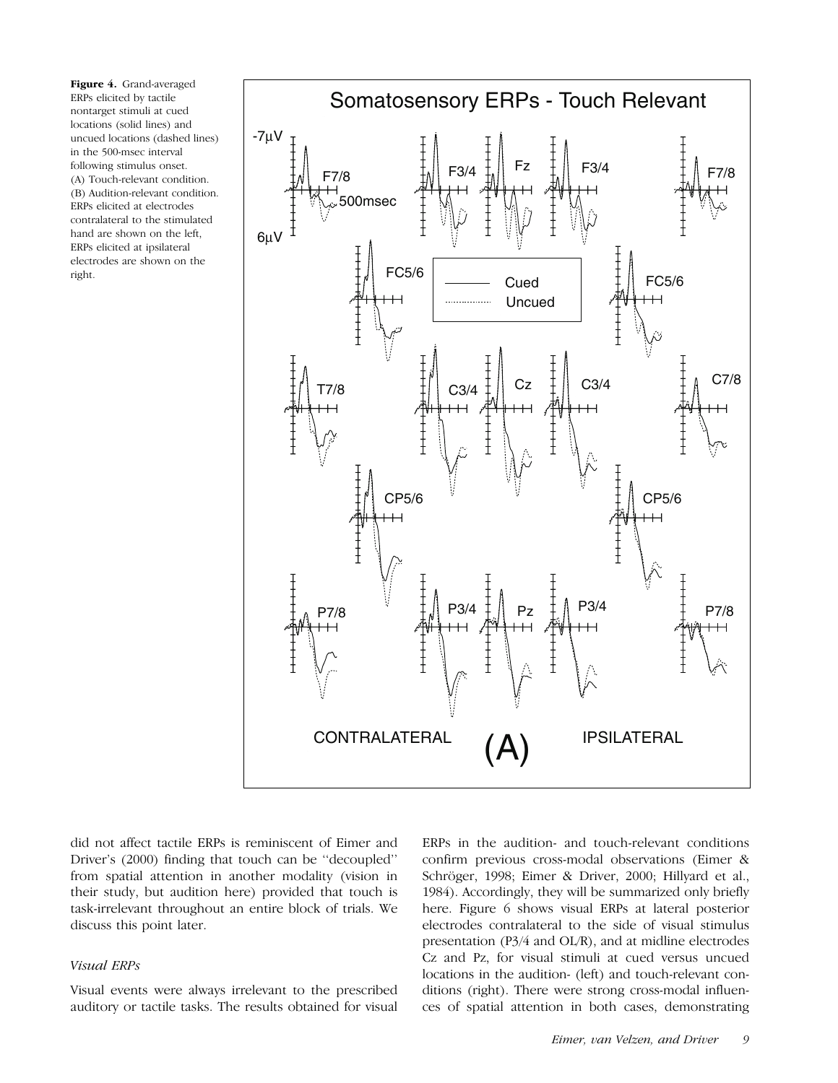Figure 4. Grand-averaged ERPs elicited by tactile nontarget stimuli at cued locations (solid lines) and uncued locations (dashed lines) in the 500-msec interval following stimulus onset. (A) Touch-relevant condition. (B) Audition-relevant condition. ERPs elicited at electrodes contralateral to the stimulated hand are shown on the left, ERPs elicited at ipsilateral electrodes are shown on the right.



did not affect tactile ERPs is reminiscent of Eimer and Driver's (2000) finding that touch can be ''decoupled'' from spatial attention in another modality (vision in their study, but audition here) provided that touch is task-irrelevant throughout an entire block of trials. We discuss this point later.

#### Visual ERPs

Visual events were always irrelevant to the prescribed auditory or tactile tasks. The results obtained for visual ERPs in the audition- and touch-relevant conditions confirm previous cross-modal observations (Eimer & Schröger, 1998; Eimer & Driver, 2000; Hillyard et al., 1984). Accordingly, they will be summarized only briefly here. Figure 6 shows visual ERPs at lateral posterior electrodes contralateral to the side of visual stimulus presentation (P3/4 and OL/R), and at midline electrodes Cz and Pz, for visual stimuli at cued versus uncued locations in the audition- (left) and touch-relevant conditions (right). There were strong cross-modal influences of spatial attention in both cases, demonstrating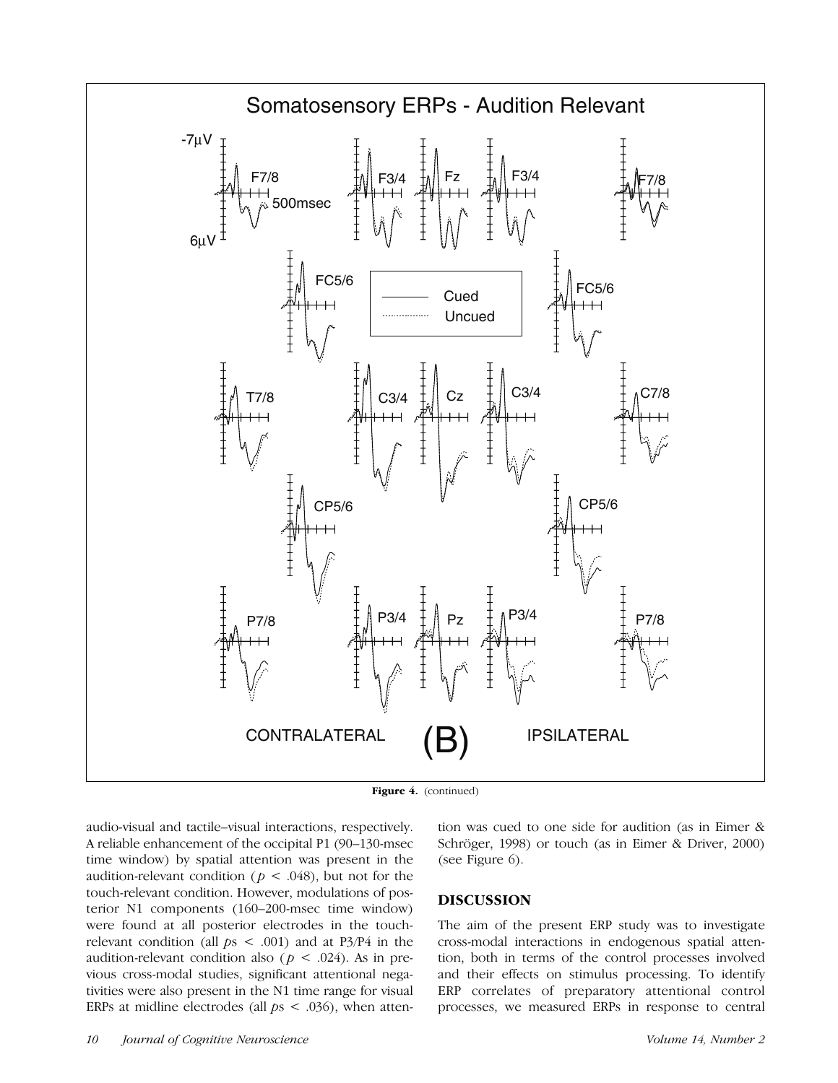

Figure 4. (continued)

audio-visual and tactile–visual interactions, respectively. A reliable enhancement of the occipital P1 (90–130-msec time window) by spatial attention was present in the audition-relevant condition ( $p < .048$ ), but not for the touch-relevant condition. However, modulations of posterior N1 components (160–200-msec time window) were found at all posterior electrodes in the touchrelevant condition (all  $ps < .001$ ) and at P3/P4 in the audition-relevant condition also ( $p < .024$ ). As in previous cross-modal studies, significant attentional negativities were also present in the N1 time range for visual ERPs at midline electrodes (all  $ps < .036$ ), when attention was cued to one side for audition (as in Eimer & Schröger, 1998) or touch (as in Eimer & Driver, 2000) (see Figure 6).

## DISCUSSION

The aim of the present ERP study was to investigate cross-modal interactions in endogenous spatial attention, both in terms of the control processes involved and their effects on stimulus processing. To identify ERP correlates of preparatory attentional control processes, we measured ERPs in response to central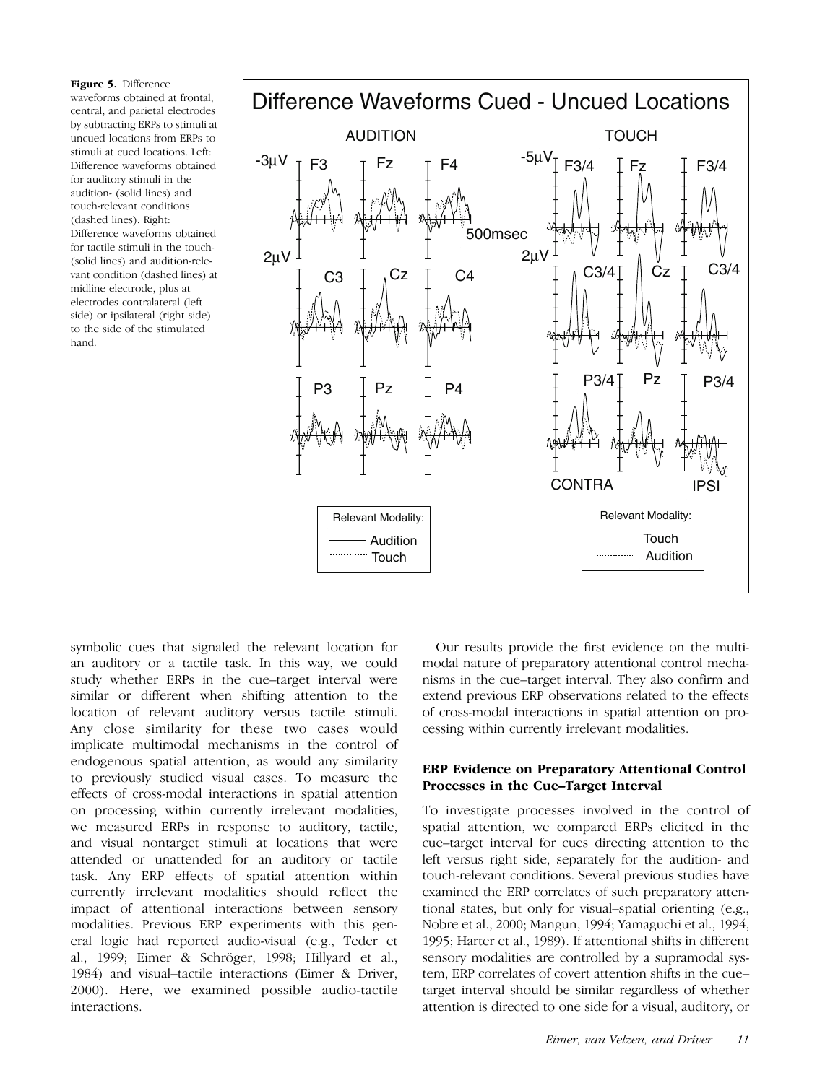Figure 5. Difference waveforms obtained at frontal, central, and parietal electrodes by subtracting ERPs to stimuli at uncued locations from ERPs to stimuli at cued locations. Left: Difference waveforms obtained for auditory stimuli in the audition- (solid lines) and touch-relevant conditions (dashed lines). Right: Difference waveforms obtained for tactile stimuli in the touch- (solid lines) and audition-relevant condition (dashed lines) at midline electrode, plus at electrodes contralateral (left side) or ipsilateral (right side) to the side of the stimulated hand.



symbolic cues that signaled the relevant location for an auditory or a tactile task. In this way, we could study whether ERPs in the cue–target interval were similar or different when shifting attention to the location of relevant auditory versus tactile stimuli. Any close similarity for these two cases would implicate multimodal mechanisms in the control of endogenous spatial attention, as would any similarity to previously studied visual cases. To measure the effects of cross-modal interactions in spatial attention on processing within currently irrelevant modalities, we measured ERPs in response to auditory, tactile, and visual nontarget stimuli at locations that were attended or unattended for an auditory or tactile task. Any ERP effects of spatial attention within currently irrelevant modalities should reflect the impact of attentional interactions between sensory modalities. Previous ERP experiments with this general logic had reported audio-visual (e.g., Teder et al., 1999; Eimer & Schröger, 1998; Hillyard et al., 1984) and visual–tactile interactions (Eimer & Driver, 2000). Here, we examined possible audio-tactile interactions.

Our results provide the first evidence on the multimodal nature of preparatory attentional control mechanisms in the cue–target interval. They also confirm and extend previous ERP observations related to the effects of cross-modal interactions in spatial attention on processing within currently irrelevant modalities.

## ERP Evidence on Preparatory Attentional Control Processes in the Cue–Target Interval

To investigate processes involved in the control of spatial attention, we compared ERPs elicited in the cue–target interval for cues directing attention to the left versus right side, separately for the audition- and touch-relevant conditions. Several previous studies have examined the ERP correlates of such preparatory attentional states, but only for visual–spatial orienting (e.g., Nobre et al., 2000; Mangun, 1994; Yamaguchi et al., 1994, 1995; Harter et al., 1989). If attentional shifts in different sensory modalities are controlled by a supramodal system, ERP correlates of covert attention shifts in the cue– target interval should be similar regardless of whether attention is directed to one side for a visual, auditory, or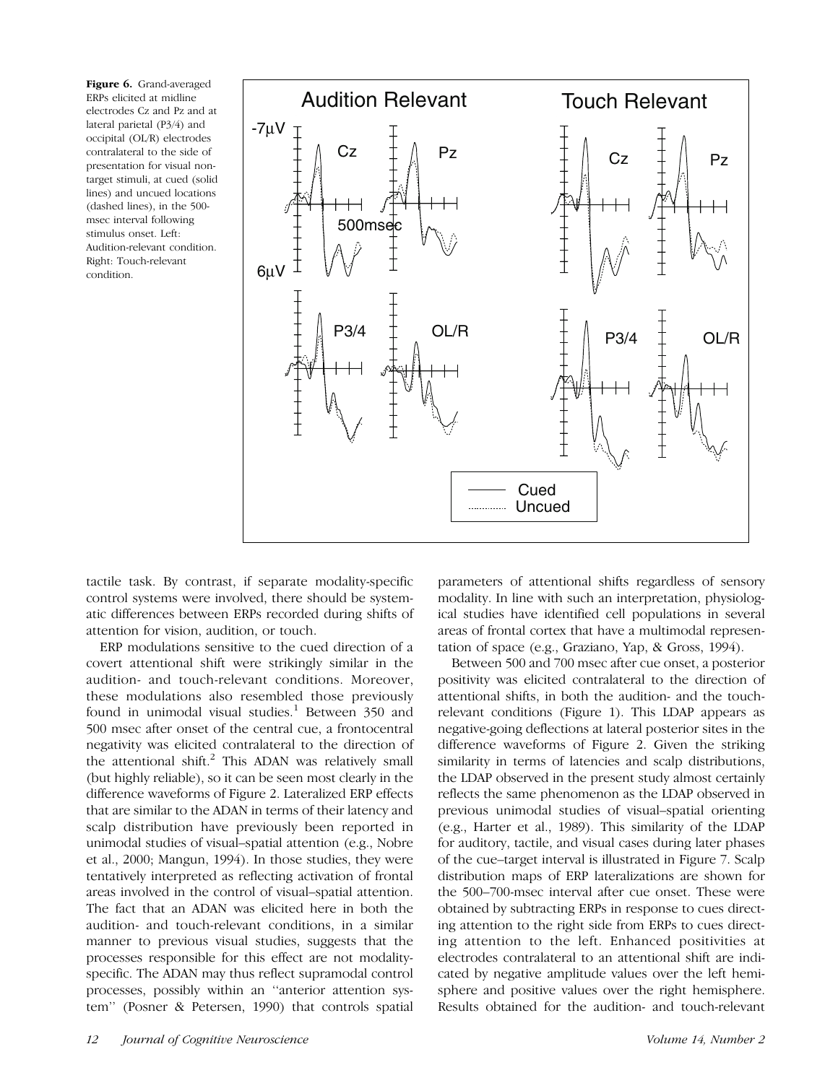Figure 6. Grand-averaged ERPs elicited at midline electrodes Cz and Pz and at lateral parietal (P3/4) and occipital (OL/R) electrodes contralateral to the side of presentation for visual nontarget stimuli, at cued (solid lines) and uncued locations (dashed lines), in the 500 msec interval following stimulus onset. Left: Audition-relevant condition. Right: Touch-relevant condition.



tactile task. By contrast, if separate modality-specific control systems were involved, there should be systematic differences between ERPs recorded during shifts of attention for vision, audition, or touch.

ERP modulations sensitive to the cued direction of a covert attentional shift were strikingly similar in the audition- and touch-relevant conditions. Moreover, these modulations also resembled those previously found in unimodal visual studies. $1$  Between 350 and 500 msec after onset of the central cue, a frontocentral negativity was elicited contralateral to the direction of the attentional shift. $^{2}$  This ADAN was relatively small (but highly reliable), so it can be seen most clearly in the difference waveforms of Figure 2. Lateralized ERP effects that are similar to the ADAN in terms of their latency and scalp distribution have previously been reported in unimodal studies of visual–spatial attention (e.g., Nobre et al., 2000; Mangun, 1994). In those studies, they were tentatively interpreted as reflecting activation of frontal areas involved in the control of visual–spatial attention. The fact that an ADAN was elicited here in both the audition- and touch-relevant conditions, in a similar manner to previous visual studies, suggests that the processes responsible for this effect are not modalityspecific. The ADAN may thus reflect supramodal control processes, possibly within an ''anterior attention system'' (Posner & Petersen, 1990) that controls spatial parameters of attentional shifts regardless of sensory modality. In line with such an interpretation, physiological studies have identified cell populations in several areas of frontal cortex that have a multimodal representation of space (e.g., Graziano, Yap, & Gross, 1994).

Between 500 and 700 msec after cue onset, a posterior positivity was elicited contralateral to the direction of attentional shifts, in both the audition- and the touchrelevant conditions (Figure 1). This LDAP appears as negative-going deflections at lateral posterior sites in the difference waveforms of Figure 2. Given the striking similarity in terms of latencies and scalp distributions, the LDAP observed in the present study almost certainly reflects the same phenomenon as the LDAP observed in previous unimodal studies of visual–spatial orienting (e.g., Harter et al., 1989). This similarity of the LDAP for auditory, tactile, and visual cases during later phases of the cue–target interval is illustrated in Figure 7. Scalp distribution maps of ERP lateralizations are shown for the 500–700-msec interval after cue onset. These were obtained by subtracting ERPs in response to cues directing attention to the right side from ERPs to cues directing attention to the left. Enhanced positivities at electrodes contralateral to an attentional shift are indicated by negative amplitude values over the left hemisphere and positive values over the right hemisphere. Results obtained for the audition- and touch-relevant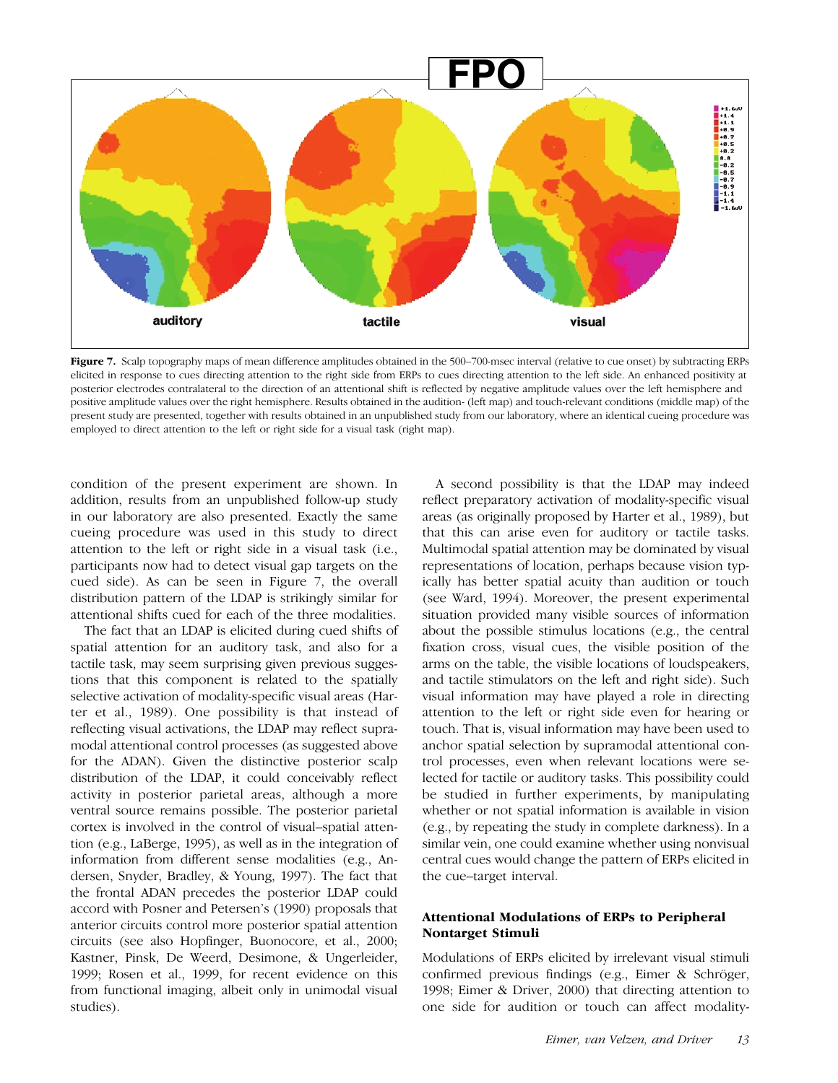

Figure 7. Scalp topography maps of mean difference amplitudes obtained in the 500-700-msec interval (relative to cue onset) by subtracting ERPs elicited in response to cues directing attention to the right side from ERPs to cues directing attention to the left side. An enhanced positivity at posterior electrodes contralateral to the direction of an attentional shift is reflected by negative amplitude values over the left hemisphere and positive amplitude values over the right hemisphere. Results obtained in the audition- (left map) and touch-relevant conditions (middle map) of the present study are presented, together with results obtained in an unpublished study from our laboratory, where an identical cueing procedure was employed to direct attention to the left or right side for a visual task (right map).

condition of the present experiment are shown. In addition, results from an unpublished follow-up study in our laboratory are also presented. Exactly the same cueing procedure was used in this study to direct attention to the left or right side in a visual task (i.e., participants now had to detect visual gap targets on the cued side). As can be seen in Figure 7, the overall distribution pattern of the LDAP is strikingly similar for attentional shifts cued for each of the three modalities.

The fact that an LDAP is elicited during cued shifts of spatial attention for an auditory task, and also for a tactile task, may seem surprising given previous suggestions that this component is related to the spatially selective activation of modality-specific visual areas (Harter et al., 1989). One possibility is that instead of reflecting visual activations, the LDAP may reflect supramodal attentional control processes (as suggested above for the ADAN). Given the distinctive posterior scalp distribution of the LDAP, it could conceivably reflect activity in posterior parietal areas, although a more ventral source remains possible. The posterior parietal cortex is involved in the control of visual–spatial attention (e.g., LaBerge, 1995), as well as in the integration of information from different sense modalities (e.g., Andersen, Snyder, Bradley, & Young, 1997). The fact that the frontal ADAN precedes the posterior LDAP could accord with Posner and Petersen's (1990) proposals that anterior circuits control more posterior spatial attention circuits (see also Hopfinger, Buonocore, et al., 2000; Kastner, Pinsk, De Weerd, Desimone, & Ungerleider, 1999; Rosen et al., 1999, for recent evidence on this from functional imaging, albeit only in unimodal visual studies).

A second possibility is that the LDAP may indeed reflect preparatory activation of modality-specific visual areas (as originally proposed by Harter et al., 1989), but that this can arise even for auditory or tactile tasks. Multimodal spatial attention may be dominated by visual representations of location, perhaps because vision typically has better spatial acuity than audition or touch (see Ward, 1994). Moreover, the present experimental situation provided many visible sources of information about the possible stimulus locations (e.g., the central fixation cross, visual cues, the visible position of the arms on the table, the visible locations of loudspeakers, and tactile stimulators on the left and right side). Such visual information may have played a role in directing attention to the left or right side even for hearing or touch. That is, visual information may have been used to anchor spatial selection by supramodal attentional control processes, even when relevant locations were selected for tactile or auditory tasks. This possibility could be studied in further experiments, by manipulating whether or not spatial information is available in vision (e.g., by repeating the study in complete darkness). In a similar vein, one could examine whether using nonvisual central cues would change the pattern of ERPs elicited in the cue–target interval.

## Attentional Modulations of ERPs to Peripheral Nontarget Stimuli

Modulations of ERPs elicited by irrelevant visual stimuli confirmed previous findings (e.g., Eimer & Schröger, 1998; Eimer & Driver, 2000) that directing attention to one side for audition or touch can affect modality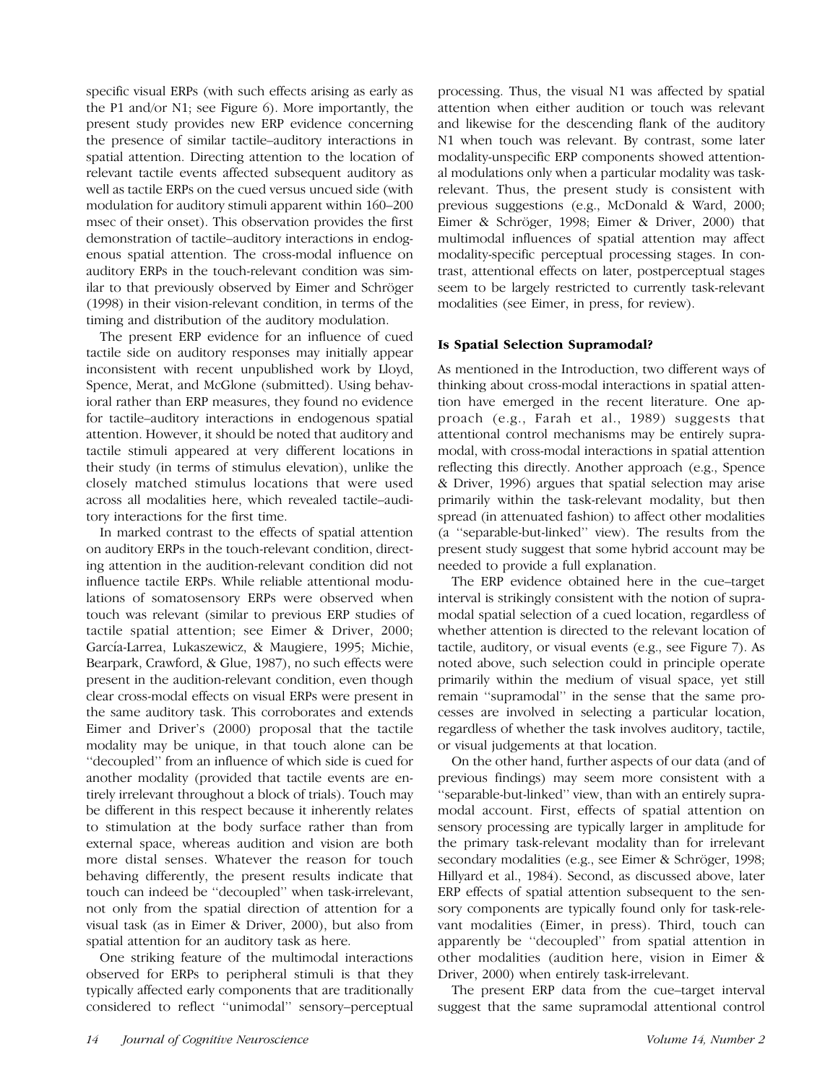specific visual ERPs (with such effects arising as early as the P1 and/or N1; see Figure 6). More importantly, the present study provides new ERP evidence concerning the presence of similar tactile–auditory interactions in spatial attention. Directing attention to the location of relevant tactile events affected subsequent auditory as well as tactile ERPs on the cued versus uncued side (with modulation for auditory stimuli apparent within 160–200 msec of their onset). This observation provides the first demonstration of tactile–auditory interactions in endogenous spatial attention. The cross-modal influence on auditory ERPs in the touch-relevant condition was similar to that previously observed by Eimer and Schröger (1998) in their vision-relevant condition, in terms of the timing and distribution of the auditory modulation.

The present ERP evidence for an influence of cued tactile side on auditory responses may initially appear inconsistent with recent unpublished work by Lloyd, Spence, Merat, and McGlone (submitted). Using behavioral rather than ERP measures, they found no evidence for tactile–auditory interactions in endogenous spatial attention. However, it should be noted that auditory and tactile stimuli appeared at very different locations in their study (in terms of stimulus elevation), unlike the closely matched stimulus locations that were used across all modalities here, which revealed tactile–auditory interactions for the first time.

In marked contrast to the effects of spatial attention on auditory ERPs in the touch-relevant condition, directing attention in the audition-relevant condition did not influence tactile ERPs. While reliable attentional modulations of somatosensory ERPs were observed when touch was relevant (similar to previous ERP studies of tactile spatial attention; see Eimer & Driver, 2000; García-Larrea, Lukaszewicz, & Maugiere, 1995; Michie, Bearpark, Crawford, & Glue, 1987), no such effects were present in the audition-relevant condition, even though clear cross-modal effects on visual ERPs were present in the same auditory task. This corroborates and extends Eimer and Driver's (2000) proposal that the tactile modality may be unique, in that touch alone can be ''decoupled'' from an influence of which side is cued for another modality (provided that tactile events are entirely irrelevant throughout a block of trials). Touch may be different in this respect because it inherently relates to stimulation at the body surface rather than from external space, whereas audition and vision are both more distal senses. Whatever the reason for touch behaving differently, the present results indicate that touch can indeed be ''decoupled'' when task-irrelevant, not only from the spatial direction of attention for a visual task (as in Eimer & Driver, 2000), but also from spatial attention for an auditory task as here.

One striking feature of the multimodal interactions observed for ERPs to peripheral stimuli is that they typically affected early components that are traditionally considered to reflect ''unimodal'' sensory–perceptual

processing. Thus, the visual N1 was affected by spatial attention when either audition or touch was relevant and likewise for the descending flank of the auditory N1 when touch was relevant. By contrast, some later modality-unspecific ERP components showed attentional modulations only when a particular modality was taskrelevant. Thus, the present study is consistent with previous suggestions (e.g., McDonald & Ward, 2000; Eimer & Schröger, 1998; Eimer & Driver, 2000) that multimodal influences of spatial attention may affect modality-specific perceptual processing stages. In contrast, attentional effects on later, postperceptual stages seem to be largely restricted to currently task-relevant modalities (see Eimer, in press, for review).

# Is Spatial Selection Supramodal?

As mentioned in the Introduction, two different ways of thinking about cross-modal interactions in spatial attention have emerged in the recent literature. One approach (e.g., Farah et al., 1989) suggests that attentional control mechanisms may be entirely supramodal, with cross-modal interactions in spatial attention reflecting this directly. Another approach (e.g., Spence & Driver, 1996) argues that spatial selection may arise primarily within the task-relevant modality, but then spread (in attenuated fashion) to affect other modalities (a ''separable-but-linked'' view). The results from the present study suggest that some hybrid account may be needed to provide a full explanation.

The ERP evidence obtained here in the cue–target interval is strikingly consistent with the notion of supramodal spatial selection of a cued location, regardless of whether attention is directed to the relevant location of tactile, auditory, or visual events (e.g., see Figure 7). As noted above, such selection could in principle operate primarily within the medium of visual space, yet still remain ''supramodal'' in the sense that the same processes are involved in selecting a particular location, regardless of whether the task involves auditory, tactile, or visual judgements at that location.

On the other hand, further aspects of our data (and of previous findings) may seem more consistent with a ''separable-but-linked'' view, than with an entirely supramodal account. First, effects of spatial attention on sensory processing are typically larger in amplitude for the primary task-relevant modality than for irrelevant secondary modalities (e.g., see Eimer & Schröger, 1998; Hillyard et al., 1984). Second, as discussed above, later ERP effects of spatial attention subsequent to the sensory components are typically found only for task-relevant modalities (Eimer, in press). Third, touch can apparently be ''decoupled'' from spatial attention in other modalities (audition here, vision in Eimer & Driver, 2000) when entirely task-irrelevant.

The present ERP data from the cue–target interval suggest that the same supramodal attentional control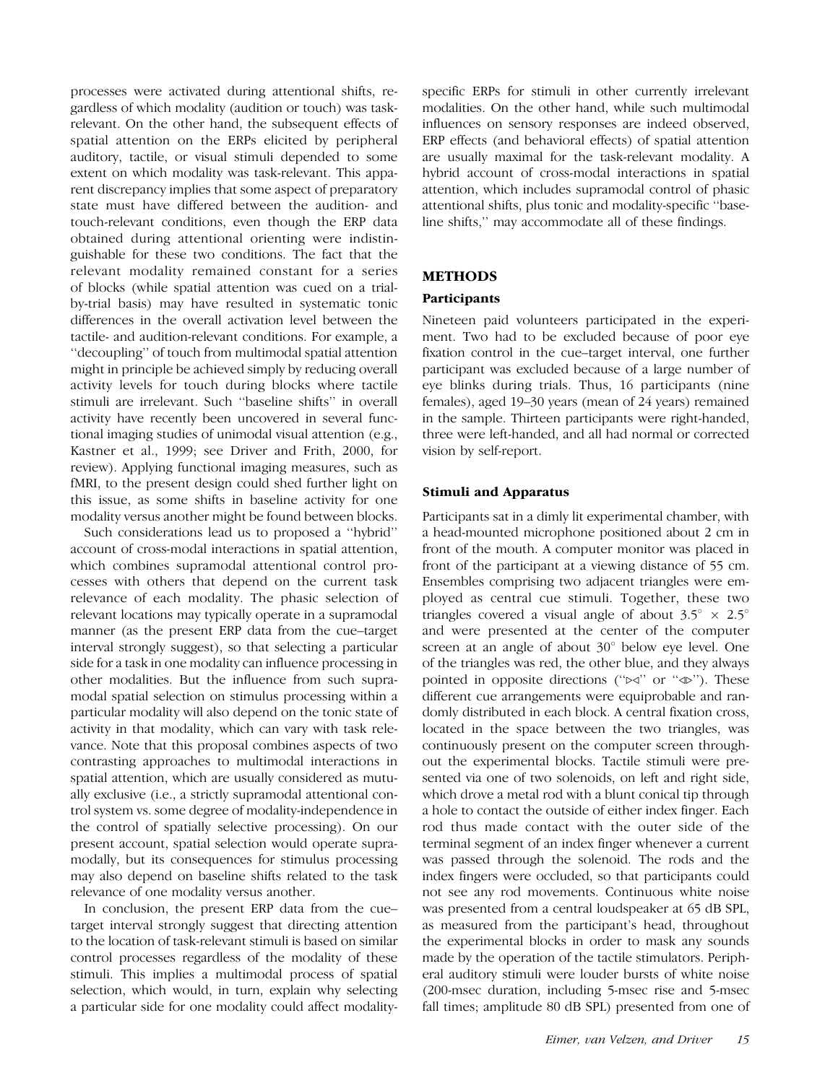processes were activated during attentional shifts, regardless of which modality (audition or touch) was taskrelevant. On the other hand, the subsequent effects of spatial attention on the ERPs elicited by peripheral auditory, tactile, or visual stimuli depended to some extent on which modality was task-relevant. This apparent discrepancy implies that some aspect of preparatory state must have differed between the audition- and touch-relevant conditions, even though the ERP data obtained during attentional orienting were indistinguishable for these two conditions. The fact that the relevant modality remained constant for a series of blocks (while spatial attention was cued on a trialby-trial basis) may have resulted in systematic tonic differences in the overall activation level between the tactile- and audition-relevant conditions. For example, a ''decoupling'' of touch from multimodal spatial attention might in principle be achieved simply by reducing overall activity levels for touch during blocks where tactile stimuli are irrelevant. Such ''baseline shifts'' in overall activity have recently been uncovered in several functional imaging studies of unimodal visual attention (e.g., Kastner et al., 1999; see Driver and Frith, 2000, for review). Applying functional imaging measures, such as fMRI, to the present design could shed further light on this issue, as some shifts in baseline activity for one modality versus another might be found between blocks.

Such considerations lead us to proposed a ''hybrid'' account of cross-modal interactions in spatial attention, which combines supramodal attentional control processes with others that depend on the current task relevance of each modality. The phasic selection of relevant locations may typically operate in a supramodal manner (as the present ERP data from the cue–target interval strongly suggest), so that selecting a particular side for a task in one modality can influence processing in other modalities. But the influence from such supramodal spatial selection on stimulus processing within a particular modality will also depend on the tonic state of activity in that modality, which can vary with task relevance. Note that this proposal combines aspects of two contrasting approaches to multimodal interactions in spatial attention, which are usually considered as mutually exclusive (i.e., a strictly supramodal attentional control system vs. some degree of modality-independence in the control of spatially selective processing). On our present account, spatial selection would operate supramodally, but its consequences for stimulus processing may also depend on baseline shifts related to the task relevance of one modality versus another.

In conclusion, the present ERP data from the cue– target interval strongly suggest that directing attention to the location of task-relevant stimuli is based on similar control processes regardless of the modality of these stimuli. This implies a multimodal process of spatial selection, which would, in turn, explain why selecting a particular side for one modality could affect modalityspecific ERPs for stimuli in other currently irrelevant modalities. On the other hand, while such multimodal influences on sensory responses are indeed observed, ERP effects (and behavioral effects) of spatial attention are usually maximal for the task-relevant modality. A hybrid account of cross-modal interactions in spatial attention, which includes supramodal control of phasic attentional shifts, plus tonic and modality-specific ''baseline shifts,'' may accommodate all of these findings.

## METHODS

#### Participants

Nineteen paid volunteers participated in the experiment. Two had to be excluded because of poor eye fixation control in the cue–target interval, one further participant was excluded because of a large number of eye blinks during trials. Thus, 16 participants (nine females), aged 19–30 years (mean of 24 years) remained in the sample. Thirteen participants were right-handed, three were left-handed, and all had normal or corrected vision by self-report.

#### Stimuli and Apparatus

Participants sat in a dimly lit experimental chamber, with a head-mounted microphone positioned about 2 cm in front of the mouth. A computer monitor was placed in front of the participant at a viewing distance of 55 cm. Ensembles comprising two adjacent triangles were employed as central cue stimuli. Together, these two triangles covered a visual angle of about  $3.5^{\circ} \times 2.5^{\circ}$ and were presented at the center of the computer screen at an angle of about  $30^{\circ}$  below eye level. One of the triangles was red, the other blue, and they always pointed in opposite directions (" $\Join$ " or " $\triangle$ "). These different cue arrangements were equiprobable and randomly distributed in each block. A central fixation cross, located in the space between the two triangles, was continuously present on the computer screen throughout the experimental blocks. Tactile stimuli were presented via one of two solenoids, on left and right side, which drove a metal rod with a blunt conical tip through a hole to contact the outside of either index finger. Each rod thus made contact with the outer side of the terminal segment of an index finger whenever a current was passed through the solenoid. The rods and the index fingers were occluded, so that participants could not see any rod movements. Continuous white noise was presented from a central loudspeaker at 65 dB SPL, as measured from the participant's head, throughout the experimental blocks in order to mask any sounds made by the operation of the tactile stimulators. Peripheral auditory stimuli were louder bursts of white noise (200-msec duration, including 5-msec rise and 5-msec fall times; amplitude 80 dB SPL) presented from one of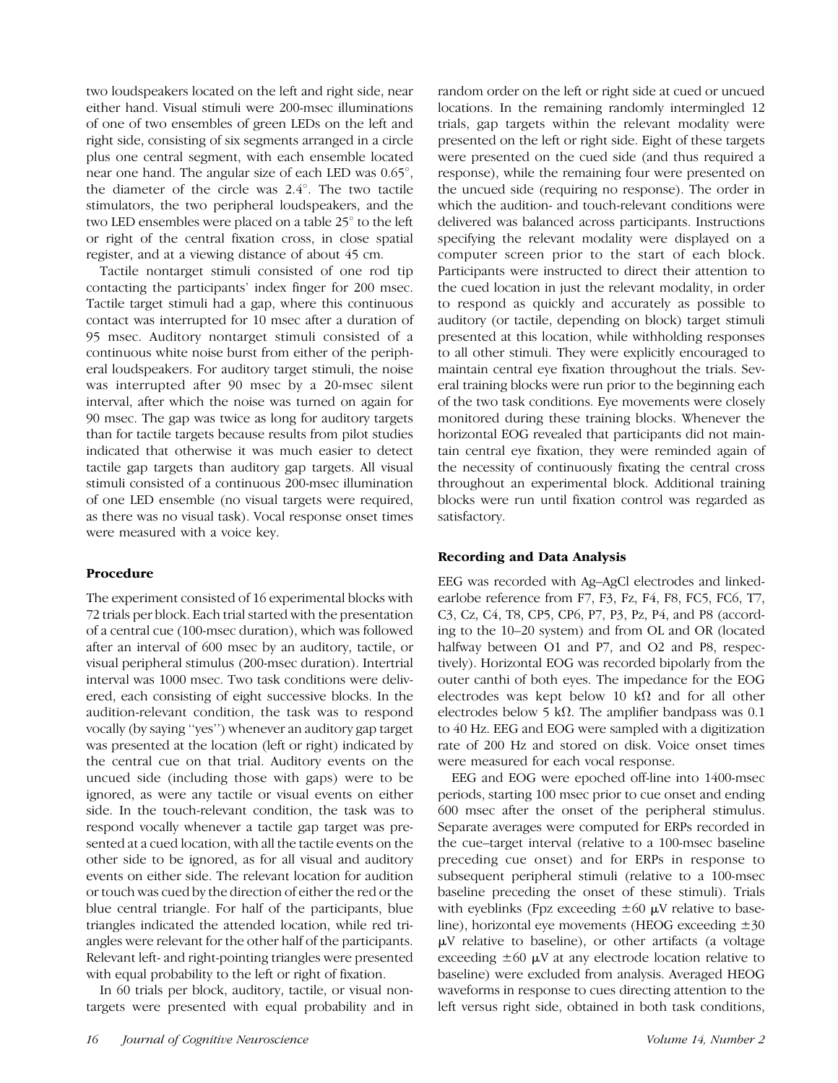two loudspeakers located on the left and right side, near either hand. Visual stimuli were 200-msec illuminations of one of two ensembles of green LEDs on the left and right side, consisting of six segments arranged in a circle plus one central segment, with each ensemble located near one hand. The angular size of each LED was  $0.65^{\circ}$ , the diameter of the circle was  $2.4^{\circ}$ . The two tactile stimulators, the two peripheral loudspeakers, and the two LED ensembles were placed on a table  $25^{\circ}$  to the left or right of the central fixation cross, in close spatial register, and at a viewing distance of about 45 cm.

Tactile nontarget stimuli consisted of one rod tip contacting the participants' index finger for 200 msec. Tactile target stimuli had a gap, where this continuous contact was interrupted for 10 msec after a duration of 95 msec. Auditory nontarget stimuli consisted of a continuous white noise burst from either of the peripheral loudspeakers. For auditory target stimuli, the noise was interrupted after 90 msec by a 20-msec silent interval, after which the noise was turned on again for 90 msec. The gap was twice as long for auditory targets than for tactile targets because results from pilot studies indicated that otherwise it was much easier to detect tactile gap targets than auditory gap targets. All visual stimuli consisted of a continuous 200-msec illumination of one LED ensemble (no visual targets were required, as there was no visual task). Vocal response onset times were measured with a voice key.

# Procedure

The experiment consisted of 16 experimental blocks with 72 trials per block. Each trial started with the presentation of a central cue (100-msec duration), which was followed after an interval of 600 msec by an auditory, tactile, or visual peripheral stimulus (200-msec duration). Intertrial interval was 1000 msec. Two task conditions were delivered, each consisting of eight successive blocks. In the audition-relevant condition, the task was to respond vocally (by saying ''yes'') whenever an auditory gap target was presented at the location (left or right) indicated by the central cue on that trial. Auditory events on the uncued side (including those with gaps) were to be ignored, as were any tactile or visual events on either side. In the touch-relevant condition, the task was to respond vocally whenever a tactile gap target was presented at a cued location, with all the tactile events on the other side to be ignored, as for all visual and auditory events on either side. The relevant location for audition or touch was cued by the direction of either the red or the blue central triangle. For half of the participants, blue triangles indicated the attended location, while red triangles were relevant for the other half of the participants. Relevant left- and right-pointing triangles were presented with equal probability to the left or right of fixation.

In 60 trials per block, auditory, tactile, or visual nontargets were presented with equal probability and in random order on the left or right side at cued or uncued locations. In the remaining randomly intermingled 12 trials, gap targets within the relevant modality were presented on the left or right side. Eight of these targets were presented on the cued side (and thus required a response), while the remaining four were presented on the uncued side (requiring no response). The order in which the audition- and touch-relevant conditions were delivered was balanced across participants. Instructions specifying the relevant modality were displayed on a computer screen prior to the start of each block. Participants were instructed to direct their attention to the cued location in just the relevant modality, in order to respond as quickly and accurately as possible to auditory (or tactile, depending on block) target stimuli presented at this location, while withholding responses to all other stimuli. They were explicitly encouraged to maintain central eye fixation throughout the trials. Several training blocks were run prior to the beginning each of the two task conditions. Eye movements were closely monitored during these training blocks. Whenever the horizontal EOG revealed that participants did not maintain central eye fixation, they were reminded again of the necessity of continuously fixating the central cross throughout an experimental block. Additional training blocks were run until fixation control was regarded as satisfactory.

# Recording and Data Analysis

EEG was recorded with Ag–AgCl electrodes and linkedearlobe reference from F7, F3, Fz, F4, F8, FC5, FC6, T7, C3, Cz, C4, T8, CP5, CP6, P7, P3, Pz, P4, and P8 (according to the 10–20 system) and from OL and OR (located halfway between O1 and P7, and O2 and P8, respectively). Horizontal EOG was recorded bipolarly from the outer canthi of both eyes. The impedance for the EOG electrodes was kept below 10 k $\Omega$  and for all other electrodes below 5 k $\Omega$ . The amplifier bandpass was 0.1 to 40 Hz. EEG and EOG were sampled with a digitization rate of 200 Hz and stored on disk. Voice onset times were measured for each vocal response.

EEG and EOG were epoched off-line into 1400-msec periods, starting 100 msec prior to cue onset and ending 600 msec after the onset of the peripheral stimulus. Separate averages were computed for ERPs recorded in the cue–target interval (relative to a 100-msec baseline preceding cue onset) and for ERPs in response to subsequent peripheral stimuli (relative to a 100-msec baseline preceding the onset of these stimuli). Trials with eyeblinks (Fpz exceeding  $\pm 60 \mu$ V relative to baseline), horizontal eye movements (HEOG exceeding  $\pm 30$  $\mu$ V relative to baseline), or other artifacts (a voltage exceeding  $\pm 60$   $\mu$ V at any electrode location relative to baseline) were excluded from analysis. Averaged HEOG waveforms in response to cues directing attention to the left versus right side, obtained in both task conditions,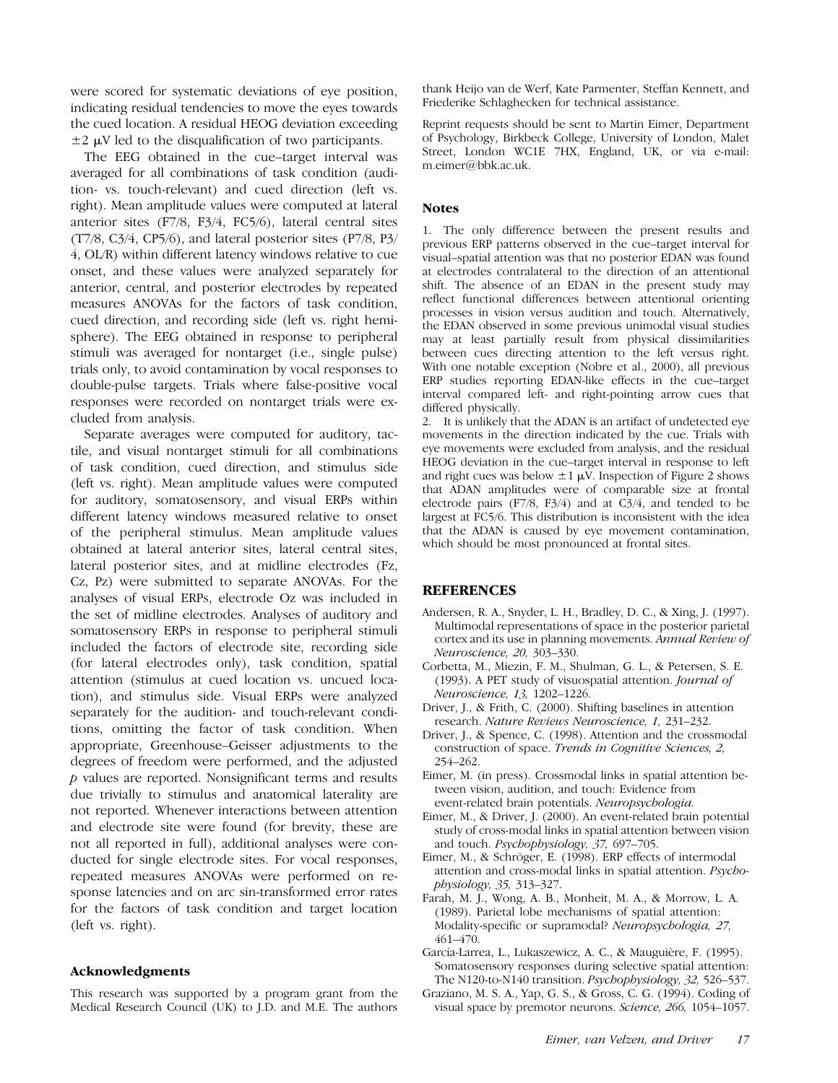were scored for systematic deviations of eye position, indicating residual tendencies to move the eyes towards the cued location. A residual HEOG deviation exceeding  $\pm 2$   $\mu$ V led to the disqualification of two participants.

The EEG obtained in the cue–target interval was averaged for all combinations of task condition (audition- vs. touch-relevant) and cued direction (left vs. right). Mean amplitude values were computed at lateral anterior sites (F7/8, F3/4, FC5/6), lateral central sites (T7/8, C3/4, CP5/6), and lateral posterior sites (P7/8, P3/ 4, OL/R) within different latency windows relative to cue onset, and these values were analyzed separately for anterior, central, and posterior electrodes by repeated measures ANOVAs for the factors of task condition, cued direction, and recording side (left vs. right hemisphere). The EEG obtained in response to peripheral stimuli was averaged for nontarget (i.e., single pulse) trials only, to avoid contamination by vocal responses to double-pulse targets. Trials where false-positive vocal responses were recorded on nontarget trials were excluded from analysis.

Separate averages were computed for auditory, tactile, and visual nontarget stimuli for all combinations of task condition, cued direction, and stimulus side (left vs. right). Mean amplitude values were computed for auditory, somatosensory, and visual ERPs within different latency windows measured relative to onset of the peripheral stimulus. Mean amplitude values obtained at lateral anterior sites, lateral central sites, lateral posterior sites, and at midline electrodes (Fz, Cz, Pz) were submitted to separate ANOVAs. For the analyses of visual ERPs, electrode Oz was included in the set of midline electrodes. Analyses of auditory and somatosensory ERPs in response to peripheral stimuli included the factors of electrode site, recording side (for lateral electrodes only), task condition, spatial attention (stimulus at cued location vs. uncued location), and stimulus side. Visual ERPs were analyzed separately for the audition- and touch-relevant conditions, omitting the factor of task condition. When appropriate, Greenhouse–Geisser adjustments to the degrees of freedom were performed, and the adjusted p values are reported. Nonsignificant terms and results due trivially to stimulus and anatomical laterality are not reported. Whenever interactions between attention and electrode site were found (for brevity, these are not all reported in full), additional analyses were conducted for single electrode sites. For vocal responses, repeated measures ANOVAs were performed on response latencies and on arc sin-transformed error rates for the factors of task condition and target location (left vs. right).

#### Acknowledgments

This research was supported by a program grant from the Medical Research Council (UK) to J.D. and M.E. The authors thank Heijo van de Werf, Kate Parmenter, Steffan Kennett, and Friederike Schlaghecken for technical assistance.

Reprint requests should be sent to Martin Eimer, Department of Psychology, Birkbeck College, University of London, Malet Street, London WC1E 7HX, England, UK, or via e-mail: m.eimer@bbk.ac.uk.

#### **Notes**

1. The only difference between the present results and previous ERP patterns observed in the cue–target interval for visual–spatial attention was that no posterior EDAN was found at electrodes contralateral to the direction of an attentional shift. The absence of an EDAN in the present study may reflect functional differences between attentional orienting processes in vision versus audition and touch. Alternatively, the EDAN observed in some previous unimodal visual studies may at least partially result from physical dissimilarities between cues directing attention to the left versus right. With one notable exception (Nobre et al., 2000), all previous ERP studies reporting EDAN-like effects in the cue–target interval compared left- and right-pointing arrow cues that differed physically.

2. It is unlikely that the ADAN is an artifact of undetected eye movements in the direction indicated by the cue. Trials with eye movements were excluded from analysis, and the residual HEOG deviation in the cue–target interval in response to left and right cues was below  $\pm 1 \mu V$ . Inspection of Figure 2 shows that ADAN amplitudes were of comparable size at frontal electrode pairs (F7/8, F3/4) and at C3/4, and tended to be largest at FC5/6. This distribution is inconsistent with the idea that the ADAN is caused by eye movement contamination, which should be most pronounced at frontal sites.

#### **REFERENCES**

- Andersen, R. A., Snyder, L. H., Bradley, D. C., & Xing, J. (1997). Multimodal representations of space in the posterior parietal cortex and its use in planning movements. Annual Review of Neuroscience, 20, 303–330.
- Corbetta, M., Miezin, F. M., Shulman, G. L., & Petersen, S. E. (1993). A PET study of visuospatial attention. Journal of Neuroscience, 13, 1202–1226.
- Driver, J., & Frith, C. (2000). Shifting baselines in attention research. Nature Reviews Neuroscience, 1, 231–232.
- Driver, J., & Spence, C. (1998). Attention and the crossmodal construction of space. Trends in Cognitive Sciences, 2, 254–262.
- Eimer, M. (in press). Crossmodal links in spatial attention between vision, audition, and touch: Evidence from event-related brain potentials. Neuropsychologia.
- Eimer, M., & Driver, J. (2000). An event-related brain potential study of cross-modal links in spatial attention between vision and touch. Psychophysiology, 37, 697–705.
- Eimer, M., & Schröger, E. (1998). ERP effects of intermodal attention and cross-modal links in spatial attention. Psychophysiology, 35, 313–327.
- Farah, M. J., Wong, A. B., Monheit, M. A., & Morrow, L. A. (1989). Parietal lobe mechanisms of spatial attention: Modality-specific or supramodal? Neuropsychologia, 27, 461–470.
- García-Larrea, L., Lukaszewicz, A. C., & Mauguière, F. (1995). Somatosensory responses during selective spatial attention: The N120-to-N140 transition. Psychophysiology, 32, 526–537.
- Graziano, M. S. A., Yap, G. S., & Gross, C. G. (1994). Coding of visual space by premotor neurons. Science, 266, 1054–1057.